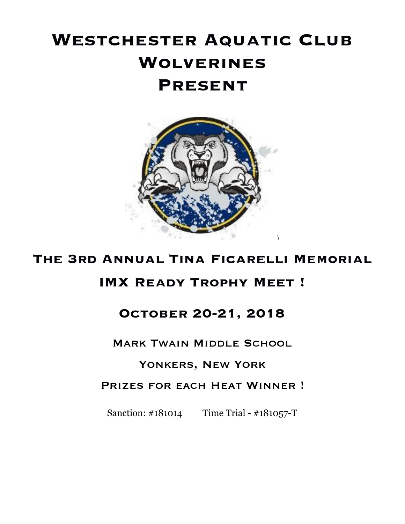# **Westchester Aquatic Club Wolverines Present**



# **The 3rd Annual Tina Ficarelli Memorial**

# **IMX Ready Trophy Meet !**

# **October 20-21, 2018**

**MARK TWAIN MIDDLE SCHOOL** 

### Yonkers, New York

### PRIZES FOR EACH HEAT WINNER !

Sanction: #181014 Time Trial - #181057-T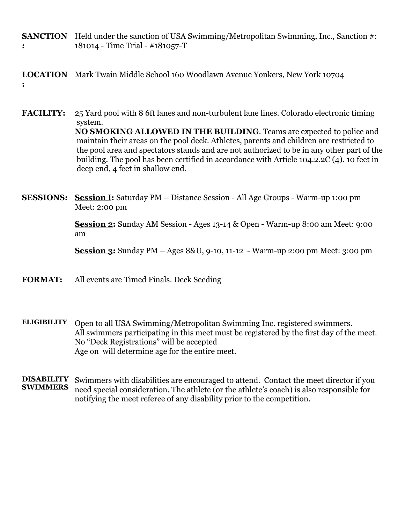**SANCTION** Held under the sanction of USA Swimming/Metropolitan Swimming, Inc., Sanction #: **:** 181014 - Time Trial - #181057-T

**LOCATION** Mark Twain Middle School 160 Woodlawn Avenue Yonkers, New York 10704 **:**

**FACILITY:** 25 Yard pool with 8 6ft lanes and non-turbulent lane lines. Colorado electronic timing system. **NO SMOKING ALLOWED IN THE BUILDING**. Teams are expected to police and maintain their areas on the pool deck. Athletes, parents and children are restricted to the pool area and spectators stands and are not authorized to be in any other part of the building. The pool has been certified in accordance with Article 104.2.2C (4). 10 feet in deep end, 4 feet in shallow end.

**SESSIONS: Session I:** Saturday PM – Distance Session - All Age Groups - Warm-up 1:00 pm Meet: 2:00 pm

> **Session 2:** Sunday AM Session - Ages 13-14 & Open - Warm-up 8:00 am Meet: 9:00 am

> **Session 3:** Sunday PM – Ages 8&U, 9-10, 11-12 - Warm-up 2:00 pm Meet: 3:00 pm

**FORMAT:** All events are Timed Finals. Deck Seeding

**ELIGIBILITY** Open to all USA Swimming/Metropolitan Swimming Inc. registered swimmers. All swimmers participating in this meet must be registered by the first day of the meet. No "Deck Registrations" will be accepted Age on will determine age for the entire meet.

**DISABILITY** Swimmers with disabilities are encouraged to attend. Contact the meet director if you need special consideration. The athlete (or the athlete's coach) is also responsible for notifying the meet referee of any disability prior to the competition.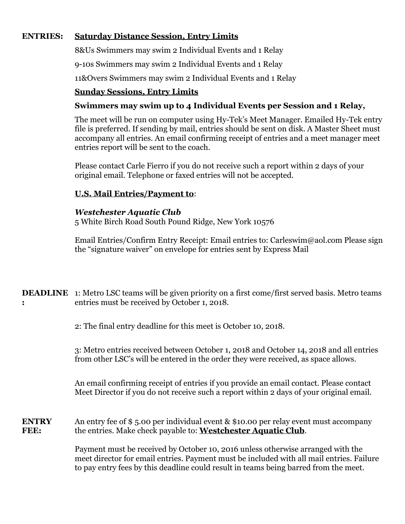#### **ENTRIES: Saturday Distance Session, Entry Limits**

8&Us Swimmers may swim 2 Individual Events and 1 Relay

9-10s Swimmers may swim 2 Individual Events and 1 Relay

11&Overs Swimmers may swim 2 Individual Events and 1 Relay

#### **Sunday Sessions, Entry Limits**

#### **Swimmers may swim up to 4 Individual Events per Session and 1 Relay,**

The meet will be run on computer using Hy-Tek's Meet Manager. Emailed Hy-Tek entry file is preferred. If sending by mail, entries should be sent on disk. A Master Sheet must accompany all entries. An email confirming receipt of entries and a meet manager meet entries report will be sent to the coach.

Please contact Carle Fierro if you do not receive such a report within 2 days of your original email. Telephone or faxed entries will not be accepted.

#### **U.S. Mail Entries/Payment to**:

#### *Westchester Aquatic Club*

5 White Birch Road South Pound Ridge, New York 10576

Email Entries/Confirm Entry Receipt: Email entries to: Carleswim@aol.com Please sign the "signature waiver" on envelope for entries sent by Express Mail

| <b>DEADLINE</b> 1: Metro LSC teams will be given priority on a first come/first served basis. Metro teams |
|-----------------------------------------------------------------------------------------------------------|
| entries must be received by October 1, 2018.                                                              |

2: The final entry deadline for this meet is October 10, 2018.

3: Metro entries received between October 1, 2018 and October 14, 2018 and all entries from other LSC's will be entered in the order they were received, as space allows.

An email confirming receipt of entries if you provide an email contact. Please contact Meet Director if you do not receive such a report within 2 days of your original email.

**ENTRY FEE:** An entry fee of \$ 5.00 per individual event & \$10.00 per relay event must accompany the entries. Make check payable to: **Westchester Aquatic Club**.

> Payment must be received by October 10, 2016 unless otherwise arranged with the meet director for email entries. Payment must be included with all mail entries. Failure to pay entry fees by this deadline could result in teams being barred from the meet.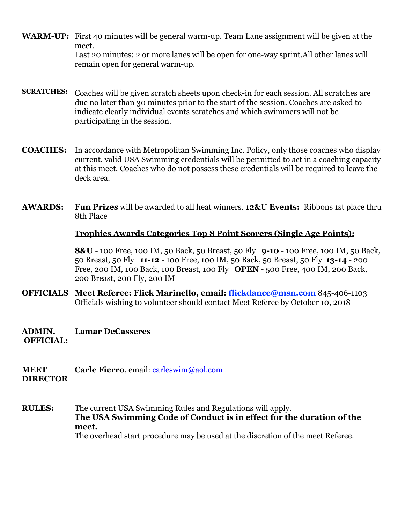- **WARM-UP:** First 40 minutes will be general warm-up. Team Lane assignment will be given at the meet. Last 20 minutes: 2 or more lanes will be open for one-way sprint.All other lanes will remain open for general warm-up.
- **SCRATCHES:** Coaches will be given scratch sheets upon check-in for each session. All scratches are due no later than 30 minutes prior to the start of the session. Coaches are asked to indicate clearly individual events scratches and which swimmers will not be participating in the session.
- **COACHES:** In accordance with Metropolitan Swimming Inc. Policy, only those coaches who display current, valid USA Swimming credentials will be permitted to act in a coaching capacity at this meet. Coaches who do not possess these credentials will be required to leave the deck area.
- **AWARDS: Fun Prizes** will be awarded to all heat winners. **12&U Events:** Ribbons 1st place thru 8th Place

#### **Trophies Awards Categories Top 8 Point Scorers (Single Age Points):**

**8&U** - 100 Free, 100 IM, 50 Back, 50 Breast, 50 Fly **9-10** - 100 Free, 100 IM, 50 Back, 50 Breast, 50 Fly **11-12** - 100 Free, 100 IM, 50 Back, 50 Breast, 50 Fly **13-14** - 200 Free, 200 IM, 100 Back, 100 Breast, 100 Fly **OPEN** - 500 Free, 400 IM, 200 Back, 200 Breast, 200 Fly, 200 IM

- **OFFICIALS Meet Referee: Flick Marinello, email: flickdance@msn.com** 845-406-1103 Officials wishing to volunteer should contact Meet Referee by October 10, 2018
- **ADMIN. Lamar DeCasseres**
- **OFFICIAL:**
- **MEET DIRECTOR Carle Fierro**, email: *carleswim@aol.com*
- **RULES:** The current USA Swimming Rules and Regulations will apply. **The USA Swimming Code of Conduct is in effect for the duration of the meet.** The overhead start procedure may be used at the discretion of the meet Referee.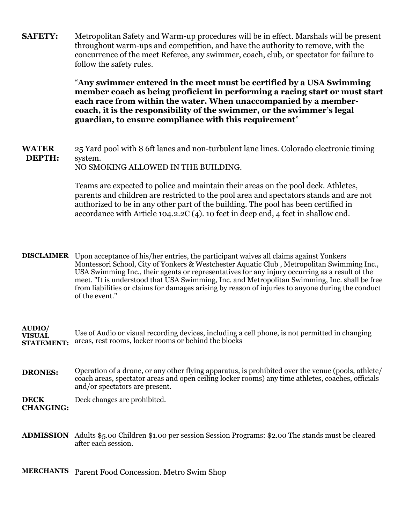**SAFETY:** Metropolitan Safety and Warm-up procedures will be in effect. Marshals will be present throughout warm-ups and competition, and have the authority to remove, with the concurrence of the meet Referee, any swimmer, coach, club, or spectator for failure to follow the safety rules.

> "**Any swimmer entered in the meet must be certified by a USA Swimming member coach as being proficient in performing a racing start or must start each race from within the water. When unaccompanied by a membercoach, it is the responsibility of the swimmer, or the swimmer's legal guardian, to ensure compliance with this requirement**"

**WATER DEPTH:** 25 Yard pool with 8 6ft lanes and non-turbulent lane lines. Colorado electronic timing system. NO SMOKING ALLOWED IN THE BUILDING.

> Teams are expected to police and maintain their areas on the pool deck. Athletes, parents and children are restricted to the pool area and spectators stands and are not authorized to be in any other part of the building. The pool has been certified in accordance with Article 104.2.2C (4). 10 feet in deep end, 4 feet in shallow end.

**DISCLAIMER** Upon acceptance of his/her entries, the participant waives all claims against Yonkers Montessori School, City of Yonkers & Westchester Aquatic Club , Metropolitan Swimming Inc., USA Swimming Inc., their agents or representatives for any injury occurring as a result of the meet. "It is understood that USA Swimming, Inc. and Metropolitan Swimming, Inc. shall be free from liabilities or claims for damages arising by reason of injuries to anyone during the conduct of the event."

**AUDIO/ VISUAL STATEMENT:**  Use of Audio or visual recording devices, including a cell phone, is not permitted in changing areas, rest rooms, locker rooms or behind the blocks

**DRONES:** Operation of a drone, or any other flying apparatus, is prohibited over the venue (pools, athlete/ coach areas, spectator areas and open ceiling locker rooms) any time athletes, coaches, officials and/or spectators are present.

**DECK CHANGING:**  Deck changes are prohibited.

**ADMISSION** Adults \$5.00 Children \$1.00 per session Session Programs: \$2.00 The stands must be cleared after each session.

**MERCHANTS** Parent Food Concession. Metro Swim Shop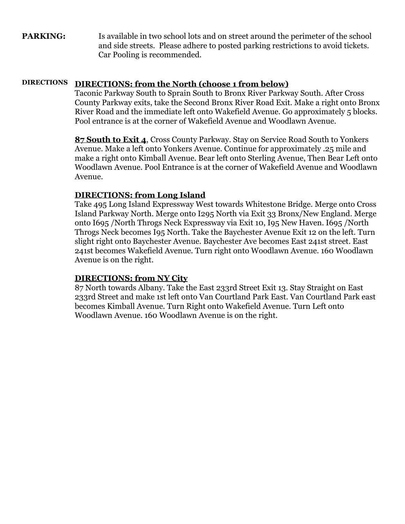**PARKING:** Is available in two school lots and on street around the perimeter of the school and side streets. Please adhere to posted parking restrictions to avoid tickets. Car Pooling is recommended.

#### **DIRECTIONS DIRECTIONS: from the North (choose 1 from below)**

Taconic Parkway South to Sprain South to Bronx River Parkway South. After Cross County Parkway exits, take the Second Bronx River Road Exit. Make a right onto Bronx River Road and the immediate left onto Wakefield Avenue. Go approximately 5 blocks. Pool entrance is at the corner of Wakefield Avenue and Woodlawn Avenue.

**87 South to Exit 4**, Cross County Parkway. Stay on Service Road South to Yonkers Avenue. Make a left onto Yonkers Avenue. Continue for approximately .25 mile and make a right onto Kimball Avenue. Bear left onto Sterling Avenue, Then Bear Left onto Woodlawn Avenue. Pool Entrance is at the corner of Wakefield Avenue and Woodlawn Avenue.

#### **DIRECTIONS: from Long Island**

Take 495 Long Island Expressway West towards Whitestone Bridge. Merge onto Cross Island Parkway North. Merge onto I295 North via Exit 33 Bronx/New England. Merge onto I695 /North Throgs Neck Expressway via Exit 10, I95 New Haven. I695 /North Throgs Neck becomes I95 North. Take the Baychester Avenue Exit 12 on the left. Turn slight right onto Baychester Avenue. Baychester Ave becomes East 241st street. East 241st becomes Wakefield Avenue. Turn right onto Woodlawn Avenue. 160 Woodlawn Avenue is on the right.

#### **DIRECTIONS: from NY City**

87 North towards Albany. Take the East 233rd Street Exit 13. Stay Straight on East 233rd Street and make 1st left onto Van Courtland Park East. Van Courtland Park east becomes Kimball Avenue. Turn Right onto Wakefield Avenue. Turn Left onto Woodlawn Avenue. 160 Woodlawn Avenue is on the right.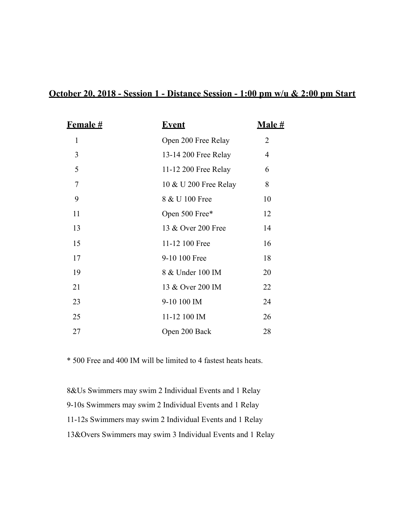#### **October 20, 2018 - Session 1 - Distance Session - 1:00 pm w/u & 2:00 pm Start**

| <b>Female #</b> | <b>Event</b>          | <u>Male #</u>  |
|-----------------|-----------------------|----------------|
| 1               | Open 200 Free Relay   | $\overline{2}$ |
| 3               | 13-14 200 Free Relay  | $\overline{4}$ |
| 5               | 11-12 200 Free Relay  | 6              |
| 7               | 10 & U 200 Free Relay | 8              |
| 9               | 8 & U 100 Free        | 10             |
| 11              | Open 500 Free*        | 12             |
| 13              | 13 & Over 200 Free    | 14             |
| 15              | 11-12 100 Free        | 16             |
| 17              | 9-10 100 Free         | 18             |
| 19              | 8 & Under 100 IM      | 20             |
| 21              | 13 & Over 200 IM      | 22             |
| 23              | 9-10 100 IM           | 24             |
| 25              | 11-12 100 IM          | 26             |
| 27              | Open 200 Back         | 28             |

\* 500 Free and 400 IM will be limited to 4 fastest heats heats.

 8&Us Swimmers may swim 2 Individual Events and 1 Relay 9-10s Swimmers may swim 2 Individual Events and 1 Relay 11-12s Swimmers may swim 2 Individual Events and 1 Relay 13&Overs Swimmers may swim 3 Individual Events and 1 Relay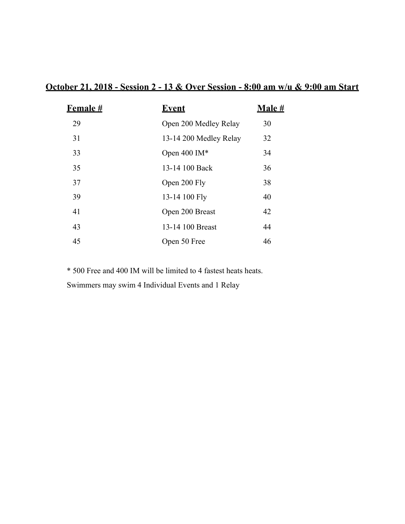### **October 21, 2018 - Session 2 - 13 & Over Session - 8:00 am w/u & 9:00 am Start**

| <b>Female #</b> | <b>Event</b>           | <u>Male #</u> |
|-----------------|------------------------|---------------|
| 29              | Open 200 Medley Relay  | 30            |
| 31              | 13-14 200 Medley Relay | 32            |
| 33              | Open 400 IM*           | 34            |
| 35              | 13-14 100 Back         | 36            |
| 37              | Open 200 Fly           | 38            |
| 39              | 13-14 100 Fly          | 40            |
| 41              | Open 200 Breast        | 42            |
| 43              | 13-14 100 Breast       | 44            |
| 45              | Open 50 Free           | 46            |

 \* 500 Free and 400 IM will be limited to 4 fastest heats heats. Swimmers may swim 4 Individual Events and 1 Relay